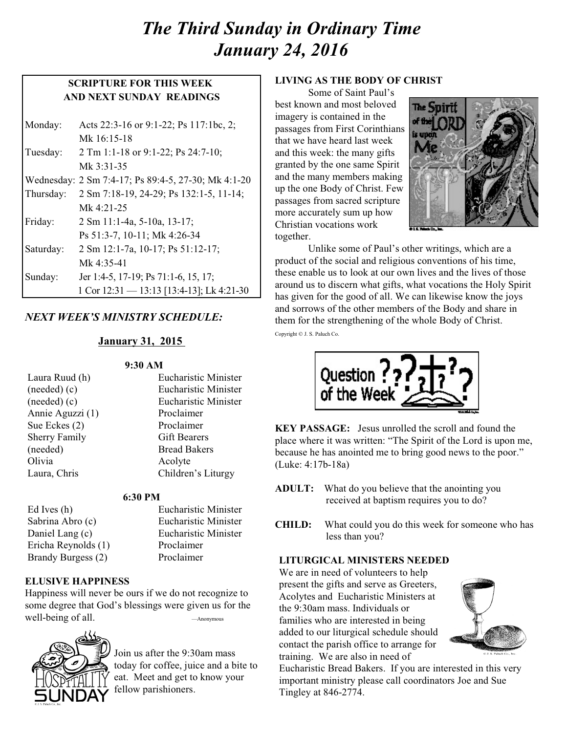# *The Third Sunday in Ordinary Time January 24, 2016*

## **SCRIPTURE FOR THIS WEEK AND NEXT SUNDAY READINGS**

| Monday:   | Acts 22:3-16 or 9:1-22; Ps 117:1bc, 2;              |
|-----------|-----------------------------------------------------|
|           | Mk 16:15-18                                         |
| Tuesday:  | 2 Tm 1:1-18 or 9:1-22; Ps 24:7-10;                  |
|           | Mk 3:31-35                                          |
|           | Wednesday: 2 Sm 7:4-17; Ps 89:4-5, 27-30; Mk 4:1-20 |
| Thursday: | 2 Sm 7:18-19, 24-29; Ps 132:1-5, 11-14;             |
|           | Mk $4:21-25$                                        |
| Friday:   | 2 Sm 11:1-4a, 5-10a, 13-17;                         |
|           | Ps 51:3-7, 10-11; Mk 4:26-34                        |
| Saturday: | 2 Sm 12:1-7a, 10-17; Ps 51:12-17;                   |
|           | Mk $4:35-41$                                        |
| Sunday:   | Jer 1:4-5, 17-19; Ps 71:1-6, 15, 17;                |
|           | 1 Cor 12:31 - 13:13 [13:4-13]; Lk 4:21-30           |

## *NEXT WEEK'S MINISTRY SCHEDULE:*

#### **January 31, 2015**

#### **9:30 AM**

| Laura Ruud (h)       | <b>Eucharistic Minister</b> |
|----------------------|-----------------------------|
| (needed)(c)          | <b>Eucharistic Minister</b> |
| (needed)(c)          | <b>Eucharistic Minister</b> |
| Annie Aguzzi (1)     | Proclaimer                  |
| Sue Eckes (2)        | Proclaimer                  |
| <b>Sherry Family</b> | <b>Gift Bearers</b>         |
| (needed)             | <b>Bread Bakers</b>         |
| Olivia               | Acolyte                     |
| Laura, Chris         | Children's Liturgy          |
|                      |                             |

#### **6:30 PM**

Ed Ives (h) Eucharistic Minister Sabrina Abro (c) Eucharistic Minister Daniel Lang (c) Eucharistic Minister Ericha Reynolds (1) Proclaimer Brandy Burgess (2) Proclaimer

**ELUSIVE HAPPINESS**

Happiness will never be ours if we do not recognize to some degree that God's blessings were given us for the well-being of all. ——Anonymous



Join us after the 9:30am mass today for coffee, juice and a bite to eat. Meet and get to know your fellow parishioners.

#### **LIVING AS THE BODY OF CHRIST**

Some of Saint Paul's best known and most beloved imagery is contained in the passages from First Corinthians that we have heard last week and this week: the many gifts granted by the one same Spirit and the many members making up the one Body of Christ. Few passages from sacred scripture more accurately sum up how Christian vocations work together.



Unlike some of Paul's other writings, which are a product of the social and religious conventions of his time, these enable us to look at our own lives and the lives of those around us to discern what gifts, what vocations the Holy Spirit has given for the good of all. We can likewise know the joys and sorrows of the other members of the Body and share in them for the strengthening of the whole Body of Christ. Copyright © J. S. Paluch Co.



**KEY PASSAGE:** Jesus unrolled the scroll and found the place where it was written: "The Spirit of the Lord is upon me, because he has anointed me to bring good news to the poor." (Luke: 4:17b-18a)

- **ADULT:** What do you believe that the anointing you received at baptism requires you to do?
- **CHILD:** What could you do this week for someone who has less than you?

#### **LITURGICAL MINISTERS NEEDED**

We are in need of volunteers to help present the gifts and serve as Greeters, Acolytes and Eucharistic Ministers at the 9:30am mass. Individuals or families who are interested in being added to our liturgical schedule should contact the parish office to arrange for training. We are also in need of



Eucharistic Bread Bakers. If you are interested in this very important ministry please call coordinators Joe and Sue Tingley at 846-2774.